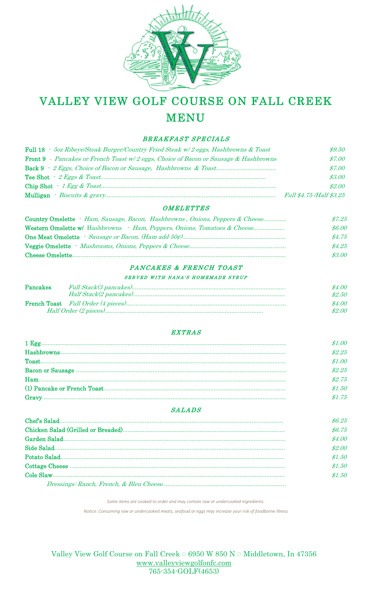

## VALLEY VIEW GOLF COURSE ON FALL CREEK **MENU**

#### **BREAKFAST SPECIALS**

| <b>Full 18</b> • 50z Ribeye/Steak Burger/Country Fried Steak w/2 eggs, Hashbrowns & Toast   | \$9.50                   |
|---------------------------------------------------------------------------------------------|--------------------------|
| <b>Front 9</b> - Pancakes or French Toast w/2 eggs, Choice of Bacon or Sausage & Hashbrowns | \$7.00                   |
|                                                                                             | \$7.00                   |
|                                                                                             | \$3.00                   |
|                                                                                             | \$2.00                   |
|                                                                                             | Full \$4.75 /Half \$3.25 |

#### **OMELETTES**

| <b>Country Omelette</b> • Ham, Sausage, Bacon, Hashbrowns, Onions, Peppers & Cheese | \$7.25        |
|-------------------------------------------------------------------------------------|---------------|
|                                                                                     | <i>\$6.00</i> |
|                                                                                     | \$4.75        |
|                                                                                     | \$4.25\$      |
|                                                                                     | \$3.00        |

#### PANCAKES & FRENCH TOAST SERVED WITH NANA'S HOMEMADE SYRUP

| <b>Pancakes</b> | \$4.00        |
|-----------------|---------------|
|                 | \$2.50        |
|                 | <i>\$4.00</i> |
|                 | \$2.00        |

#### **EXTRAS**

| \$1.00 |
|--------|
| \$2.25 |
| \$1.00 |
| \$2.25 |
| \$2.75 |
| \$1.50 |
| \$1.75 |

#### **SALADS**

| \$6.25 |
|--------|
| \$6.75 |
| \$4.00 |
| \$2.00 |
| \$1.50 |
| \$1.50 |
| \$1,50 |
|        |

Some items are cooked to order and may contain raw or undercooked ingredients.

Notice: Consuming raw or undercooked meats, seafood or eggs may increase your risk of foodborne illness

Valley View Golf Course on Fall Creek  $\circ$  6950 W 850 N  $\circ$  Middletown, In 47356 www.valleyviewgolfonfc.com 765-354-GOLF(4653)